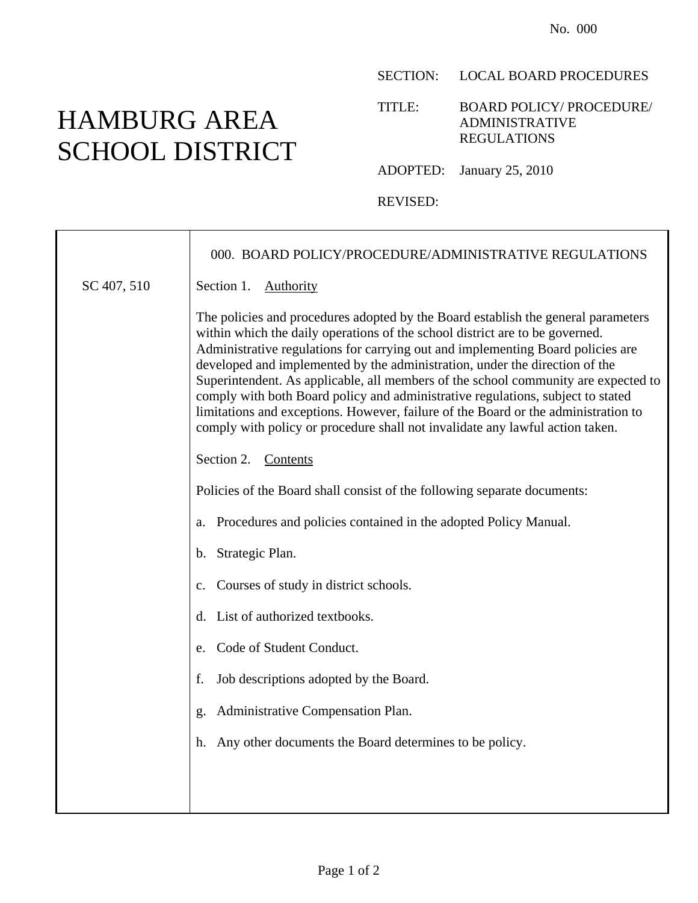## HAMBURG AREA SCHOOL DISTRICT

SECTION: LOCAL BOARD PROCEDURES

TITLE: BOARD POLICY/ PROCEDURE/ ADMINISTRATIVE REGULATIONS

ADOPTED: January 25, 2010

REVISED:

|             | 000. BOARD POLICY/PROCEDURE/ADMINISTRATIVE REGULATIONS                                                                                                                                                                                                                                                                                                                                                                                                                                                                                                                                                                                                                              |
|-------------|-------------------------------------------------------------------------------------------------------------------------------------------------------------------------------------------------------------------------------------------------------------------------------------------------------------------------------------------------------------------------------------------------------------------------------------------------------------------------------------------------------------------------------------------------------------------------------------------------------------------------------------------------------------------------------------|
| SC 407, 510 | Section 1.<br>Authority                                                                                                                                                                                                                                                                                                                                                                                                                                                                                                                                                                                                                                                             |
|             | The policies and procedures adopted by the Board establish the general parameters<br>within which the daily operations of the school district are to be governed.<br>Administrative regulations for carrying out and implementing Board policies are<br>developed and implemented by the administration, under the direction of the<br>Superintendent. As applicable, all members of the school community are expected to<br>comply with both Board policy and administrative regulations, subject to stated<br>limitations and exceptions. However, failure of the Board or the administration to<br>comply with policy or procedure shall not invalidate any lawful action taken. |
|             | Section 2. Contents                                                                                                                                                                                                                                                                                                                                                                                                                                                                                                                                                                                                                                                                 |
|             | Policies of the Board shall consist of the following separate documents:                                                                                                                                                                                                                                                                                                                                                                                                                                                                                                                                                                                                            |
|             | Procedures and policies contained in the adopted Policy Manual.<br>a.                                                                                                                                                                                                                                                                                                                                                                                                                                                                                                                                                                                                               |
|             | Strategic Plan.<br>b.                                                                                                                                                                                                                                                                                                                                                                                                                                                                                                                                                                                                                                                               |
|             | Courses of study in district schools.<br>$\mathbf{c}$ .                                                                                                                                                                                                                                                                                                                                                                                                                                                                                                                                                                                                                             |
|             | List of authorized textbooks.<br>d.                                                                                                                                                                                                                                                                                                                                                                                                                                                                                                                                                                                                                                                 |
|             | Code of Student Conduct.<br>e.                                                                                                                                                                                                                                                                                                                                                                                                                                                                                                                                                                                                                                                      |
|             | Job descriptions adopted by the Board.<br>f.                                                                                                                                                                                                                                                                                                                                                                                                                                                                                                                                                                                                                                        |
|             | Administrative Compensation Plan.<br>g.                                                                                                                                                                                                                                                                                                                                                                                                                                                                                                                                                                                                                                             |
|             | Any other documents the Board determines to be policy.<br>h.                                                                                                                                                                                                                                                                                                                                                                                                                                                                                                                                                                                                                        |
|             |                                                                                                                                                                                                                                                                                                                                                                                                                                                                                                                                                                                                                                                                                     |